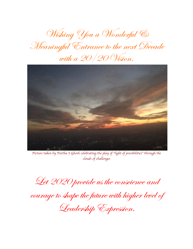Wishing You a Wonderful & Meaningful Entrance to the next Decade with a 20/20 Vision.



*Picture taken by Partha S Ghosh celebrating the play of* "*light of possibilities*" *through the clouds of challenges*

Let 2020 provide us the conscience and

courage to shape the future with higher level of

Leadership Expression.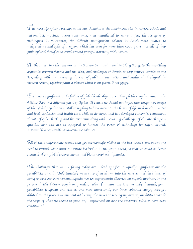${\mathcal T}$ he most significant perhaps in all our thoughts is the continuous rise in narrow ethnic and *nationalistic instincts across continents, - as manifested to name a few, the struggles of Rohingyas in Myanmar, the difficult immigration debates in South Asia related to independence and split of a region, which has been for more than 5000 years a cradle of deep philosophical thoughts centered around peaceful harmony with nature.* 

*At the same time the tensions in the Korean Peninsular and in Hong Kong, to the unsettling dynamics between Russia and the West, and challenges of Brexit, to deep political divides in the US, along with the increasing distrust of public in institutions and media which shaped the modern society, together paint a picture which is bit fuzzy, if not foggy.* 

 ${\mathcal{L}}$ ven more significant is the failure of global leadership to sort through the complex issues in the *Middle East and different parts of Africa. Of course we should not forget that larger percentage of the Global population is still struggling to have access to the basics of life such as clean water and food, sanitation and health care, while in developed and less developed economies continuous threats of cyber hacking and bio terrorism along with increasing challenges of climate change, question how well are we equipped to harness the power of technology for safer, secured, sustainable & equitable socio-economic advance.*

*All of these unfortunate trends that got increasingly visible in the last decade, underscore the need to rethink what must constitute leadership in the years ahead, so that we could be better stewards of our global socio-economic and bio-atmospheric dynamics.*

*The challenges that we are facing today are indeed significant; equally significant are the possibilities ahead. Unfortunately we are too often drawn into the narrow and dark lanes of being to serve our own personal agenda, not too infrequently distorted by myopic instincts. In the process divides between people only widen, value of human consciousness only diminish, great possibilities fragment and scatter, and most importantly our inner spiritual energy only get diluted. In the process we miss out addressing the issues or serving important possibilities outside the scope of what we choose to focus on, - influenced by how the observers*' *mindset have been conditioned.*